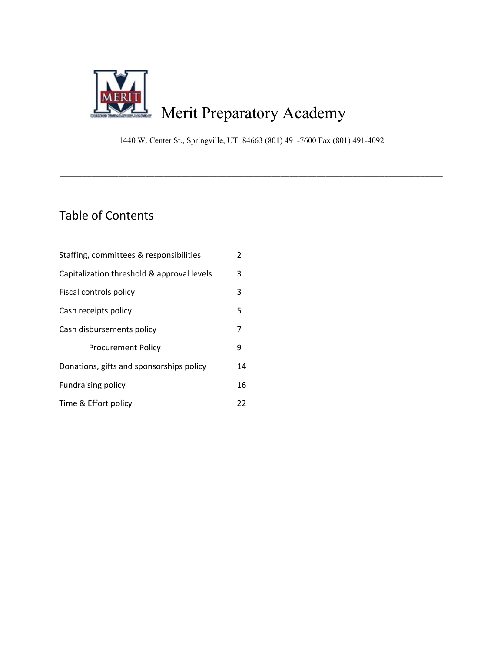

1440 W. Center St., Springville, UT 84663 (801) 491-7600 Fax (801) 491-4092

\_\_\_\_\_\_\_\_\_\_\_\_\_\_\_\_\_\_\_\_\_\_\_\_\_\_\_\_\_\_\_\_\_\_\_\_\_\_\_\_\_\_\_\_\_\_\_\_\_\_\_\_\_\_\_\_\_\_\_\_\_\_\_\_\_\_\_\_\_\_\_\_\_\_\_\_\_\_\_\_\_\_\_\_\_

# Table of Contents

| Staffing, committees & responsibilities    | $\overline{2}$ |
|--------------------------------------------|----------------|
| Capitalization threshold & approval levels | 3              |
| Fiscal controls policy                     | 3              |
| Cash receipts policy                       | 5              |
| Cash disbursements policy                  | 7              |
| <b>Procurement Policy</b>                  | 9              |
| Donations, gifts and sponsorships policy   | 14             |
| <b>Fundraising policy</b>                  | 16             |
| Time & Effort policy                       | 22             |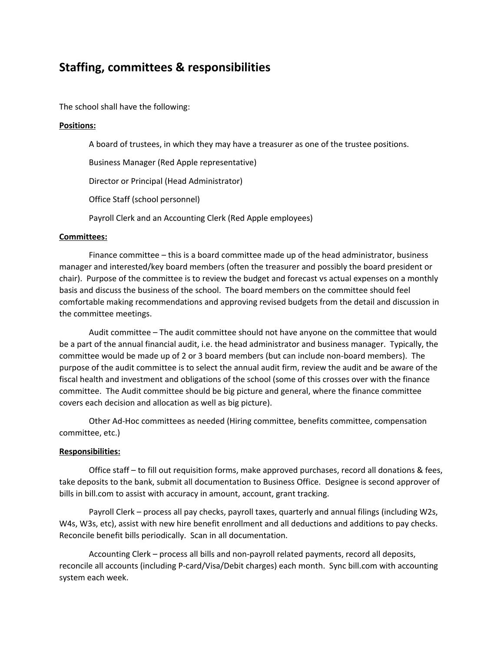## **Staffing, committees & responsibilities**

The school shall have the following:

#### **Positions:**

A board of trustees, in which they may have a treasurer as one of the trustee positions.

Business Manager (Red Apple representative)

Director or Principal (Head Administrator)

Office Staff (school personnel)

Payroll Clerk and an Accounting Clerk (Red Apple employees)

#### **Committees:**

Finance committee – this is a board committee made up of the head administrator, business manager and interested/key board members (often the treasurer and possibly the board president or chair). Purpose of the committee is to review the budget and forecast vs actual expenses on a monthly basis and discuss the business of the school. The board members on the committee should feel comfortable making recommendations and approving revised budgets from the detail and discussion in the committee meetings.

Audit committee – The audit committee should not have anyone on the committee that would be a part of the annual financial audit, i.e. the head administrator and business manager. Typically, the committee would be made up of 2 or 3 board members (but can include non-board members). The purpose of the audit committee is to select the annual audit firm, review the audit and be aware of the fiscal health and investment and obligations of the school (some of this crosses over with the finance committee. The Audit committee should be big picture and general, where the finance committee covers each decision and allocation as well as big picture).

Other Ad-Hoc committees as needed (Hiring committee, benefits committee, compensation committee, etc.)

#### **Responsibilities:**

Office staff – to fill out requisition forms, make approved purchases, record all donations & fees, take deposits to the bank, submit all documentation to Business Office. Designee is second approver of bills in bill.com to assist with accuracy in amount, account, grant tracking.

Payroll Clerk – process all pay checks, payroll taxes, quarterly and annual filings (including W2s, W4s, W3s, etc), assist with new hire benefit enrollment and all deductions and additions to pay checks. Reconcile benefit bills periodically. Scan in all documentation.

Accounting Clerk – process all bills and non-payroll related payments, record all deposits, reconcile all accounts (including P-card/Visa/Debit charges) each month. Sync bill.com with accounting system each week.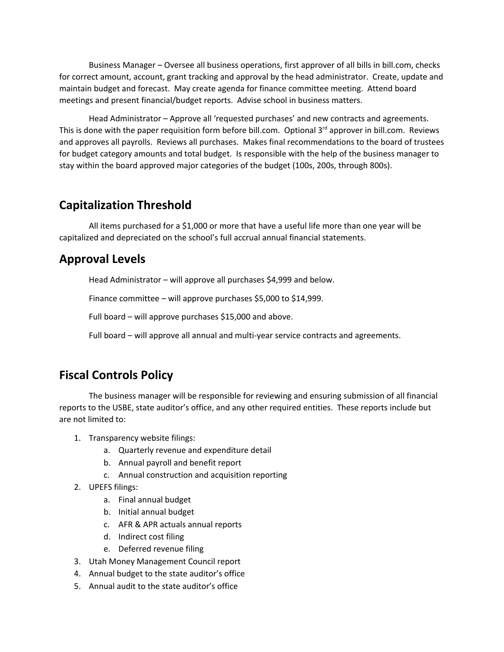Business Manager – Oversee all business operations, first approver of all bills in bill.com, checks for correct amount, account, grant tracking and approval by the head administrator. Create, update and maintain budget and forecast. May create agenda for finance committee meeting. Attend board meetings and present financial/budget reports. Advise school in business matters.

Head Administrator – Approve all 'requested purchases' and new contracts and agreements. This is done with the paper requisition form before bill.com. Optional 3<sup>rd</sup> approver in bill.com. Reviews and approves all payrolls. Reviews all purchases. Makes final recommendations to the board of trustees for budget category amounts and total budget. Is responsible with the help of the business manager to stay within the board approved major categories of the budget (100s, 200s, through 800s).

# **Capitalization Threshold**

All items purchased for a \$1,000 or more that have a useful life more than one year will be capitalized and depreciated on the school's full accrual annual financial statements.

## **Approval Levels**

Head Administrator – will approve all purchases \$4,999 and below.

Finance committee – will approve purchases \$5,000 to \$14,999.

Full board – will approve purchases \$15,000 and above.

Full board – will approve all annual and multi-year service contracts and agreements.

# **Fiscal Controls Policy**

The business manager will be responsible for reviewing and ensuring submission of all financial reports to the USBE, state auditor's office, and any other required entities. These reports include but are not limited to:

- 1. Transparency website filings:
	- a. Quarterly revenue and expenditure detail
	- b. Annual payroll and benefit report
	- c. Annual construction and acquisition reporting
- 2. UPEFS filings:
	- a. Final annual budget
	- b. Initial annual budget
	- c. AFR & APR actuals annual reports
	- d. Indirect cost filing
	- e. Deferred revenue filing
- 3. Utah Money Management Council report
- 4. Annual budget to the state auditor's office
- 5. Annual audit to the state auditor's office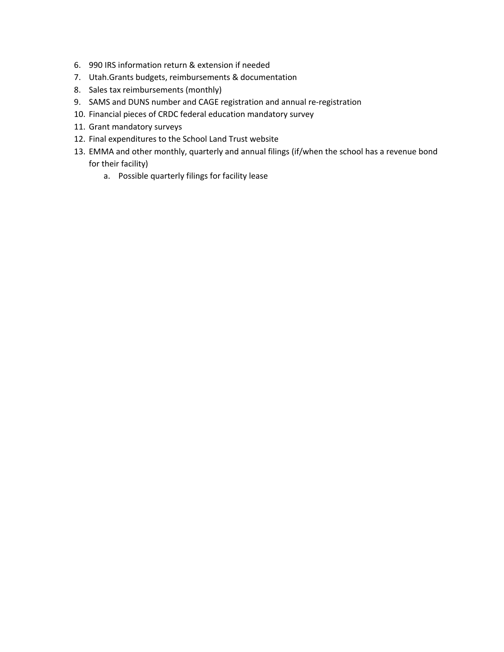- 6. 990 IRS information return & extension if needed
- 7. Utah.Grants budgets, reimbursements & documentation
- 8. Sales tax reimbursements (monthly)
- 9. SAMS and DUNS number and CAGE registration and annual re-registration
- 10. Financial pieces of CRDC federal education mandatory survey
- 11. Grant mandatory surveys
- 12. Final expenditures to the School Land Trust website
- 13. EMMA and other monthly, quarterly and annual filings (if/when the school has a revenue bond for their facility)
	- a. Possible quarterly filings for facility lease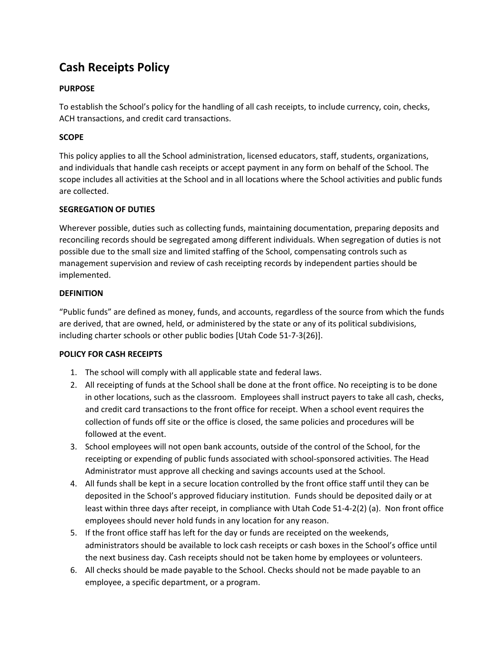# **Cash Receipts Policy**

#### **PURPOSE**

To establish the School's policy for the handling of all cash receipts, to include currency, coin, checks, ACH transactions, and credit card transactions.

#### **SCOPE**

This policy applies to all the School administration, licensed educators, staff, students, organizations, and individuals that handle cash receipts or accept payment in any form on behalf of the School. The scope includes all activities at the School and in all locations where the School activities and public funds are collected.

#### **SEGREGATION OF DUTIES**

Wherever possible, duties such as collecting funds, maintaining documentation, preparing deposits and reconciling records should be segregated among different individuals. When segregation of duties is not possible due to the small size and limited staffing of the School, compensating controls such as management supervision and review of cash receipting records by independent parties should be implemented.

#### **DEFINITION**

"Public funds" are defined as money, funds, and accounts, regardless of the source from which the funds are derived, that are owned, held, or administered by the state or any of its political subdivisions, including charter schools or other public bodies [Utah Code 51-7-3(26)].

#### **POLICY FOR CASH RECEIPTS**

- 1. The school will comply with all applicable state and federal laws.
- 2. All receipting of funds at the School shall be done at the front office. No receipting is to be done in other locations, such as the classroom. Employees shall instruct payers to take all cash, checks, and credit card transactions to the front office for receipt. When a school event requires the collection of funds off site or the office is closed, the same policies and procedures will be followed at the event.
- 3. School employees will not open bank accounts, outside of the control of the School, for the receipting or expending of public funds associated with school-sponsored activities. The Head Administrator must approve all checking and savings accounts used at the School.
- 4. All funds shall be kept in a secure location controlled by the front office staff until they can be deposited in the School's approved fiduciary institution. Funds should be deposited daily or at least within three days after receipt, in compliance with Utah Code 51-4-2(2) (a). Non front office employees should never hold funds in any location for any reason.
- 5. If the front office staff has left for the day or funds are receipted on the weekends, administrators should be available to lock cash receipts or cash boxes in the School's office until the next business day. Cash receipts should not be taken home by employees or volunteers.
- 6. All checks should be made payable to the School. Checks should not be made payable to an employee, a specific department, or a program.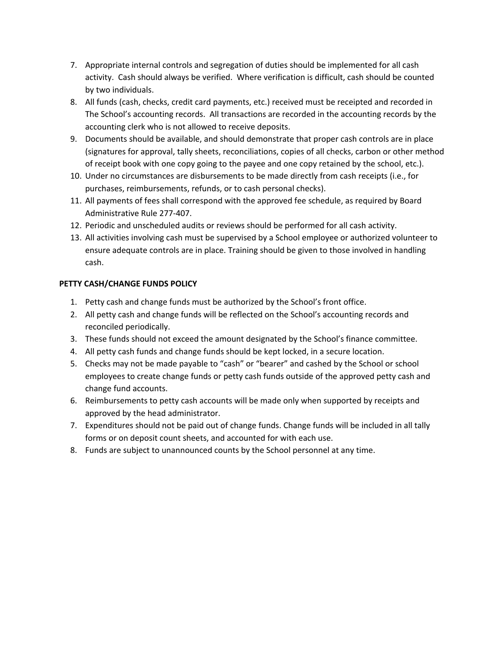- 7. Appropriate internal controls and segregation of duties should be implemented for all cash activity. Cash should always be verified. Where verification is difficult, cash should be counted by two individuals.
- 8. All funds (cash, checks, credit card payments, etc.) received must be receipted and recorded in The School's accounting records. All transactions are recorded in the accounting records by the accounting clerk who is not allowed to receive deposits.
- 9. Documents should be available, and should demonstrate that proper cash controls are in place (signatures for approval, tally sheets, reconciliations, copies of all checks, carbon or other method of receipt book with one copy going to the payee and one copy retained by the school, etc.).
- 10. Under no circumstances are disbursements to be made directly from cash receipts (i.e., for purchases, reimbursements, refunds, or to cash personal checks).
- 11. All payments of fees shall correspond with the approved fee schedule, as required by Board Administrative Rule 277-407.
- 12. Periodic and unscheduled audits or reviews should be performed for all cash activity.
- 13. All activities involving cash must be supervised by a School employee or authorized volunteer to ensure adequate controls are in place. Training should be given to those involved in handling cash.

#### **PETTY CASH/CHANGE FUNDS POLICY**

- 1. Petty cash and change funds must be authorized by the School's front office.
- 2. All petty cash and change funds will be reflected on the School's accounting records and reconciled periodically.
- 3. These funds should not exceed the amount designated by the School's finance committee.
- 4. All petty cash funds and change funds should be kept locked, in a secure location.
- 5. Checks may not be made payable to "cash" or "bearer" and cashed by the School or school employees to create change funds or petty cash funds outside of the approved petty cash and change fund accounts.
- 6. Reimbursements to petty cash accounts will be made only when supported by receipts and approved by the head administrator.
- 7. Expenditures should not be paid out of change funds. Change funds will be included in all tally forms or on deposit count sheets, and accounted for with each use.
- 8. Funds are subject to unannounced counts by the School personnel at any time.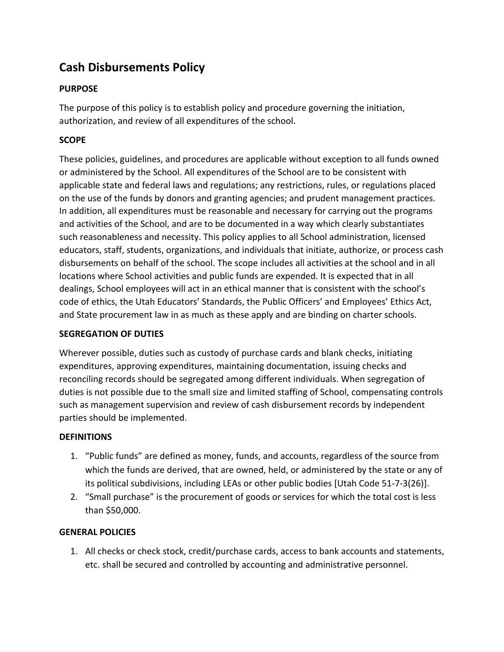# **Cash Disbursements Policy**

### **PURPOSE**

The purpose of this policy is to establish policy and procedure governing the initiation, authorization, and review of all expenditures of the school.

### **SCOPE**

These policies, guidelines, and procedures are applicable without exception to all funds owned or administered by the School. All expenditures of the School are to be consistent with applicable state and federal laws and regulations; any restrictions, rules, or regulations placed on the use of the funds by donors and granting agencies; and prudent management practices. In addition, all expenditures must be reasonable and necessary for carrying out the programs and activities of the School, and are to be documented in a way which clearly substantiates such reasonableness and necessity. This policy applies to all School administration, licensed educators, staff, students, organizations, and individuals that initiate, authorize, or process cash disbursements on behalf of the school. The scope includes all activities at the school and in all locations where School activities and public funds are expended. It is expected that in all dealings, School employees will act in an ethical manner that is consistent with the school's code of ethics, the Utah Educators' Standards, the Public Officers' and Employees' Ethics Act, and State procurement law in as much as these apply and are binding on charter schools.

### **SEGREGATION OF DUTIES**

Wherever possible, duties such as custody of purchase cards and blank checks, initiating expenditures, approving expenditures, maintaining documentation, issuing checks and reconciling records should be segregated among different individuals. When segregation of duties is not possible due to the small size and limited staffing of School, compensating controls such as management supervision and review of cash disbursement records by independent parties should be implemented.

### **DEFINITIONS**

- 1. "Public funds" are defined as money, funds, and accounts, regardless of the source from which the funds are derived, that are owned, held, or administered by the state or any of its political subdivisions, including LEAs or other public bodies [Utah Code 51-7-3(26)].
- 2. "Small purchase" is the procurement of goods or services for which the total cost is less than \$50,000.

### **GENERAL POLICIES**

1. All checks or check stock, credit/purchase cards, access to bank accounts and statements, etc. shall be secured and controlled by accounting and administrative personnel.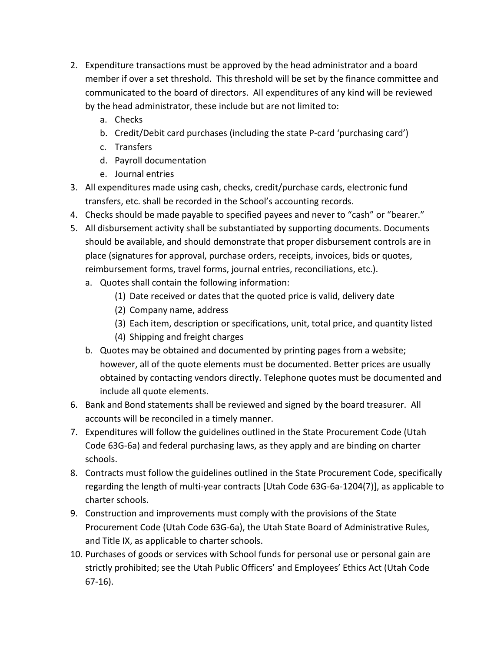- 2. Expenditure transactions must be approved by the head administrator and a board member if over a set threshold. This threshold will be set by the finance committee and communicated to the board of directors. All expenditures of any kind will be reviewed by the head administrator, these include but are not limited to:
	- a. Checks
	- b. Credit/Debit card purchases (including the state P-card 'purchasing card')
	- c. Transfers
	- d. Payroll documentation
	- e. Journal entries
- 3. All expenditures made using cash, checks, credit/purchase cards, electronic fund transfers, etc. shall be recorded in the School's accounting records.
- 4. Checks should be made payable to specified payees and never to "cash" or "bearer."
- 5. All disbursement activity shall be substantiated by supporting documents. Documents should be available, and should demonstrate that proper disbursement controls are in place (signatures for approval, purchase orders, receipts, invoices, bids or quotes, reimbursement forms, travel forms, journal entries, reconciliations, etc.).
	- a. Quotes shall contain the following information:
		- (1) Date received or dates that the quoted price is valid, delivery date
		- (2) Company name, address
		- (3) Each item, description or specifications, unit, total price, and quantity listed
		- (4) Shipping and freight charges
	- b. Quotes may be obtained and documented by printing pages from a website; however, all of the quote elements must be documented. Better prices are usually obtained by contacting vendors directly. Telephone quotes must be documented and include all quote elements.
- 6. Bank and Bond statements shall be reviewed and signed by the board treasurer. All accounts will be reconciled in a timely manner.
- 7. Expenditures will follow the guidelines outlined in the State Procurement Code (Utah Code 63G-6a) and federal purchasing laws, as they apply and are binding on charter schools.
- 8. Contracts must follow the guidelines outlined in the State Procurement Code, specifically regarding the length of multi-year contracts [Utah Code 63G-6a-1204(7)], as applicable to charter schools.
- 9. Construction and improvements must comply with the provisions of the State Procurement Code (Utah Code 63G-6a), the Utah State Board of Administrative Rules, and Title IX, as applicable to charter schools.
- 10. Purchases of goods or services with School funds for personal use or personal gain are strictly prohibited; see the Utah Public Officers' and Employees' Ethics Act (Utah Code 67-16).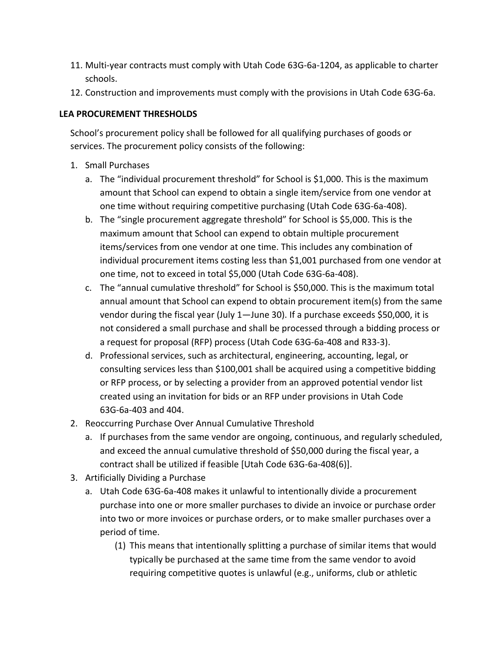- 11. Multi-year contracts must comply with Utah Code 63G-6a-1204, as applicable to charter schools.
- 12. Construction and improvements must comply with the provisions in Utah Code 63G-6a.

### **LEA PROCUREMENT THRESHOLDS**

School's procurement policy shall be followed for all qualifying purchases of goods or services. The procurement policy consists of the following:

- 1. Small Purchases
	- a. The "individual procurement threshold" for School is \$1,000. This is the maximum amount that School can expend to obtain a single item/service from one vendor at one time without requiring competitive purchasing (Utah Code 63G-6a-408).
	- b. The "single procurement aggregate threshold" for School is \$5,000. This is the maximum amount that School can expend to obtain multiple procurement items/services from one vendor at one time. This includes any combination of individual procurement items costing less than \$1,001 purchased from one vendor at one time, not to exceed in total \$5,000 (Utah Code 63G-6a-408).
	- c. The "annual cumulative threshold" for School is \$50,000. This is the maximum total annual amount that School can expend to obtain procurement item(s) from the same vendor during the fiscal year (July 1—June 30). If a purchase exceeds \$50,000, it is not considered a small purchase and shall be processed through a bidding process or a request for proposal (RFP) process (Utah Code 63G-6a-408 and R33-3).
	- d. Professional services, such as architectural, engineering, accounting, legal, or consulting services less than \$100,001 shall be acquired using a competitive bidding or RFP process, or by selecting a provider from an approved potential vendor list created using an invitation for bids or an RFP under provisions in Utah Code 63G-6a-403 and 404.
- 2. Reoccurring Purchase Over Annual Cumulative Threshold
	- a. If purchases from the same vendor are ongoing, continuous, and regularly scheduled, and exceed the annual cumulative threshold of \$50,000 during the fiscal year, a contract shall be utilized if feasible [Utah Code 63G-6a-408(6)].
- 3. Artificially Dividing a Purchase
	- a. Utah Code 63G-6a-408 makes it unlawful to intentionally divide a procurement purchase into one or more smaller purchases to divide an invoice or purchase order into two or more invoices or purchase orders, or to make smaller purchases over a period of time.
		- (1) This means that intentionally splitting a purchase of similar items that would typically be purchased at the same time from the same vendor to avoid requiring competitive quotes is unlawful (e.g., uniforms, club or athletic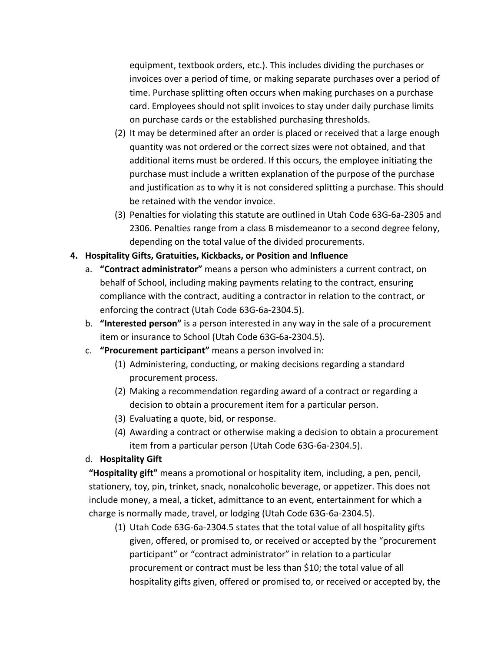equipment, textbook orders, etc.). This includes dividing the purchases or invoices over a period of time, or making separate purchases over a period of time. Purchase splitting often occurs when making purchases on a purchase card. Employees should not split invoices to stay under daily purchase limits on purchase cards or the established purchasing thresholds.

- (2) It may be determined after an order is placed or received that a large enough quantity was not ordered or the correct sizes were not obtained, and that additional items must be ordered. If this occurs, the employee initiating the purchase must include a written explanation of the purpose of the purchase and justification as to why it is not considered splitting a purchase. This should be retained with the vendor invoice.
- (3) Penalties for violating this statute are outlined in Utah Code 63G-6a-2305 and 2306. Penalties range from a class B misdemeanor to a second degree felony, depending on the total value of the divided procurements.

### **4. Hospitality Gifts, Gratuities, Kickbacks, or Position and Influence**

- a. **"Contract administrator"** means a person who administers a current contract, on behalf of School, including making payments relating to the contract, ensuring compliance with the contract, auditing a contractor in relation to the contract, or enforcing the contract (Utah Code 63G-6a-2304.5).
- b. **"Interested person"** is a person interested in any way in the sale of a procurement item or insurance to School (Utah Code 63G-6a-2304.5).
- c. **"Procurement participant"** means a person involved in:
	- (1) Administering, conducting, or making decisions regarding a standard procurement process.
	- (2) Making a recommendation regarding award of a contract or regarding a decision to obtain a procurement item for a particular person.
	- (3) Evaluating a quote, bid, or response.
	- (4) Awarding a contract or otherwise making a decision to obtain a procurement item from a particular person (Utah Code 63G-6a-2304.5).

### d. **Hospitality Gift**

**"Hospitality gift"** means a promotional or hospitality item, including, a pen, pencil, stationery, toy, pin, trinket, snack, nonalcoholic beverage, or appetizer. This does not include money, a meal, a ticket, admittance to an event, entertainment for which a charge is normally made, travel, or lodging (Utah Code 63G-6a-2304.5).

(1) Utah Code 63G-6a-2304.5 states that the total value of all hospitality gifts given, offered, or promised to, or received or accepted by the "procurement participant" or "contract administrator" in relation to a particular procurement or contract must be less than \$10; the total value of all hospitality gifts given, offered or promised to, or received or accepted by, the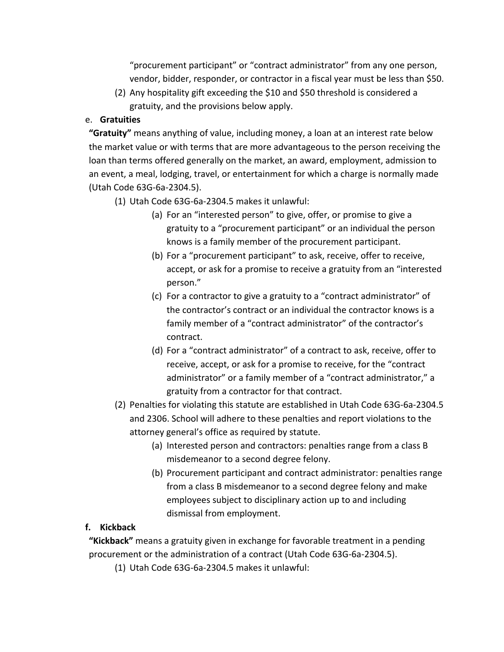"procurement participant" or "contract administrator" from any one person, vendor, bidder, responder, or contractor in a fiscal year must be less than \$50.

(2) Any hospitality gift exceeding the \$10 and \$50 threshold is considered a gratuity, and the provisions below apply.

### e. **Gratuities**

**"Gratuity"** means anything of value, including money, a loan at an interest rate below the market value or with terms that are more advantageous to the person receiving the loan than terms offered generally on the market, an award, employment, admission to an event, a meal, lodging, travel, or entertainment for which a charge is normally made (Utah Code 63G-6a-2304.5).

- (1) Utah Code 63G-6a-2304.5 makes it unlawful:
	- (a) For an "interested person" to give, offer, or promise to give a gratuity to a "procurement participant" or an individual the person knows is a family member of the procurement participant.
	- (b) For a "procurement participant" to ask, receive, offer to receive, accept, or ask for a promise to receive a gratuity from an "interested person."
	- (c) For a contractor to give a gratuity to a "contract administrator" of the contractor's contract or an individual the contractor knows is a family member of a "contract administrator" of the contractor's contract.
	- (d) For a "contract administrator" of a contract to ask, receive, offer to receive, accept, or ask for a promise to receive, for the "contract administrator" or a family member of a "contract administrator," a gratuity from a contractor for that contract.
- (2) Penalties for violating this statute are established in Utah Code 63G-6a-2304.5 and 2306. School will adhere to these penalties and report violations to the attorney general's office as required by statute.
	- (a) Interested person and contractors: penalties range from a class B misdemeanor to a second degree felony.
	- (b) Procurement participant and contract administrator: penalties range from a class B misdemeanor to a second degree felony and make employees subject to disciplinary action up to and including dismissal from employment.

### **f. Kickback**

**"Kickback"** means a gratuity given in exchange for favorable treatment in a pending procurement or the administration of a contract (Utah Code 63G-6a-2304.5).

(1) Utah Code 63G-6a-2304.5 makes it unlawful: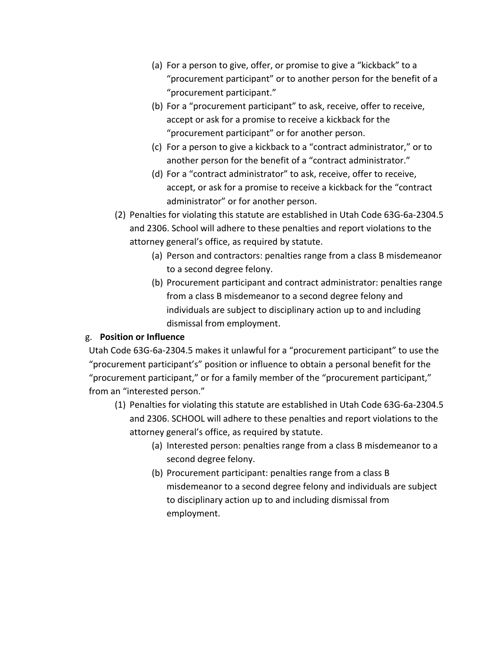- (a) For a person to give, offer, or promise to give a "kickback" to a "procurement participant" or to another person for the benefit of a "procurement participant."
- (b) For a "procurement participant" to ask, receive, offer to receive, accept or ask for a promise to receive a kickback for the "procurement participant" or for another person.
- (c) For a person to give a kickback to a "contract administrator," or to another person for the benefit of a "contract administrator."
- (d) For a "contract administrator" to ask, receive, offer to receive, accept, or ask for a promise to receive a kickback for the "contract administrator" or for another person.
- (2) Penalties for violating this statute are established in Utah Code 63G-6a-2304.5 and 2306. School will adhere to these penalties and report violations to the attorney general's office, as required by statute.
	- (a) Person and contractors: penalties range from a class B misdemeanor to a second degree felony.
	- (b) Procurement participant and contract administrator: penalties range from a class B misdemeanor to a second degree felony and individuals are subject to disciplinary action up to and including dismissal from employment.

### g. **Position or Influence**

Utah Code 63G-6a-2304.5 makes it unlawful for a "procurement participant" to use the "procurement participant's" position or influence to obtain a personal benefit for the "procurement participant," or for a family member of the "procurement participant," from an "interested person."

- (1) Penalties for violating this statute are established in Utah Code 63G-6a-2304.5 and 2306. SCHOOL will adhere to these penalties and report violations to the attorney general's office, as required by statute.
	- (a) Interested person: penalties range from a class B misdemeanor to a second degree felony.
	- (b) Procurement participant: penalties range from a class B misdemeanor to a second degree felony and individuals are subject to disciplinary action up to and including dismissal from employment.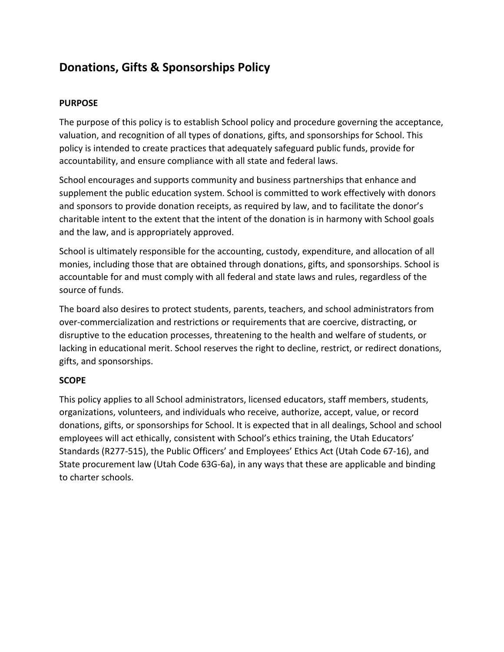# **Donations, Gifts & Sponsorships Policy**

#### **PURPOSE**

The purpose of this policy is to establish School policy and procedure governing the acceptance, valuation, and recognition of all types of donations, gifts, and sponsorships for School. This policy is intended to create practices that adequately safeguard public funds, provide for accountability, and ensure compliance with all state and federal laws.

School encourages and supports community and business partnerships that enhance and supplement the public education system. School is committed to work effectively with donors and sponsors to provide donation receipts, as required by law, and to facilitate the donor's charitable intent to the extent that the intent of the donation is in harmony with School goals and the law, and is appropriately approved.

School is ultimately responsible for the accounting, custody, expenditure, and allocation of all monies, including those that are obtained through donations, gifts, and sponsorships. School is accountable for and must comply with all federal and state laws and rules, regardless of the source of funds.

The board also desires to protect students, parents, teachers, and school administrators from over-commercialization and restrictions or requirements that are coercive, distracting, or disruptive to the education processes, threatening to the health and welfare of students, or lacking in educational merit. School reserves the right to decline, restrict, or redirect donations, gifts, and sponsorships.

### **SCOPE**

This policy applies to all School administrators, licensed educators, staff members, students, organizations, volunteers, and individuals who receive, authorize, accept, value, or record donations, gifts, or sponsorships for School. It is expected that in all dealings, School and school employees will act ethically, consistent with School's ethics training, the Utah Educators' Standards (R277-515), the Public Officers' and Employees' Ethics Act (Utah Code 67-16), and State procurement law (Utah Code 63G-6a), in any ways that these are applicable and binding to charter schools.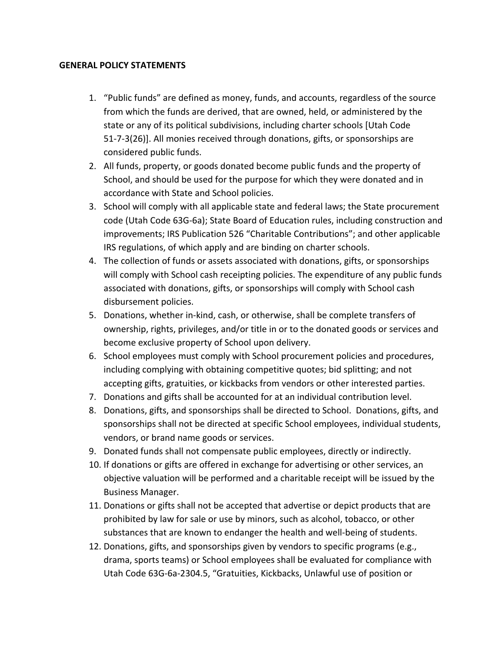#### **GENERAL POLICY STATEMENTS**

- 1. "Public funds" are defined as money, funds, and accounts, regardless of the source from which the funds are derived, that are owned, held, or administered by the state or any of its political subdivisions, including charter schools [Utah Code 51-7-3(26)]. All monies received through donations, gifts, or sponsorships are considered public funds.
- 2. All funds, property, or goods donated become public funds and the property of School, and should be used for the purpose for which they were donated and in accordance with State and School policies.
- 3. School will comply with all applicable state and federal laws; the State procurement code (Utah Code 63G-6a); State Board of Education rules, including construction and improvements; IRS Publication 526 "Charitable Contributions"; and other applicable IRS regulations, of which apply and are binding on charter schools.
- 4. The collection of funds or assets associated with donations, gifts, or sponsorships will comply with School cash receipting policies. The expenditure of any public funds associated with donations, gifts, or sponsorships will comply with School cash disbursement policies.
- 5. Donations, whether in-kind, cash, or otherwise, shall be complete transfers of ownership, rights, privileges, and/or title in or to the donated goods or services and become exclusive property of School upon delivery.
- 6. School employees must comply with School procurement policies and procedures, including complying with obtaining competitive quotes; bid splitting; and not accepting gifts, gratuities, or kickbacks from vendors or other interested parties.
- 7. Donations and gifts shall be accounted for at an individual contribution level.
- 8. Donations, gifts, and sponsorships shall be directed to School. Donations, gifts, and sponsorships shall not be directed at specific School employees, individual students, vendors, or brand name goods or services.
- 9. Donated funds shall not compensate public employees, directly or indirectly.
- 10. If donations or gifts are offered in exchange for advertising or other services, an objective valuation will be performed and a charitable receipt will be issued by the Business Manager.
- 11. Donations or gifts shall not be accepted that advertise or depict products that are prohibited by law for sale or use by minors, such as alcohol, tobacco, or other substances that are known to endanger the health and well-being of students.
- 12. Donations, gifts, and sponsorships given by vendors to specific programs (e.g., drama, sports teams) or School employees shall be evaluated for compliance with Utah Code 63G-6a-2304.5, "Gratuities, Kickbacks, Unlawful use of position or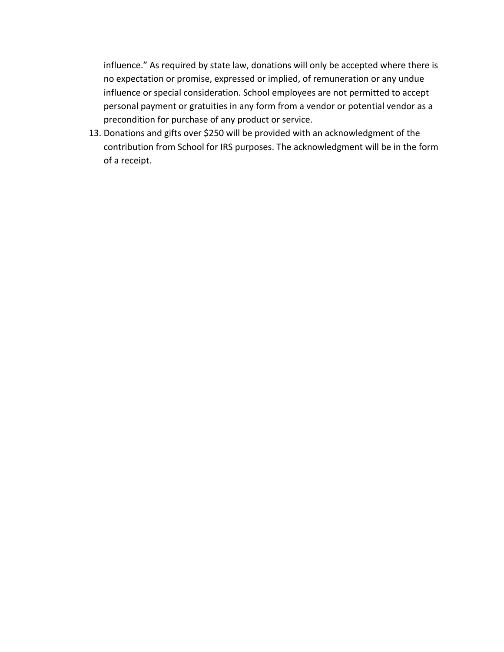influence." As required by state law, donations will only be accepted where there is no expectation or promise, expressed or implied, of remuneration or any undue influence or special consideration. School employees are not permitted to accept personal payment or gratuities in any form from a vendor or potential vendor as a precondition for purchase of any product or service.

13. Donations and gifts over \$250 will be provided with an acknowledgment of the contribution from School for IRS purposes. The acknowledgment will be in the form of a receipt.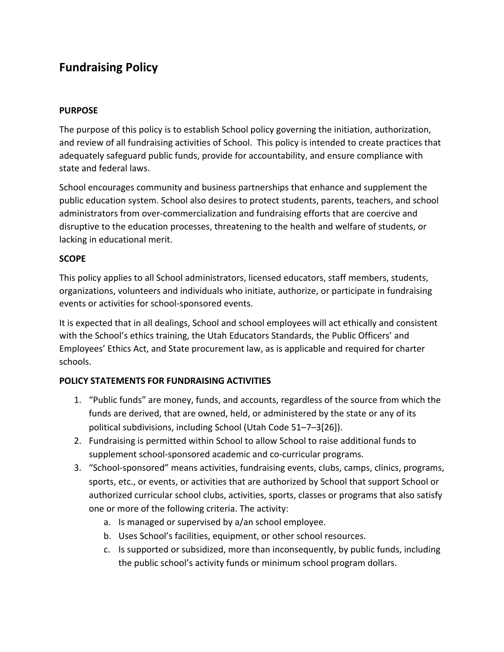# **Fundraising Policy**

### **PURPOSE**

The purpose of this policy is to establish School policy governing the initiation, authorization, and review of all fundraising activities of School. This policy is intended to create practices that adequately safeguard public funds, provide for accountability, and ensure compliance with state and federal laws.

School encourages community and business partnerships that enhance and supplement the public education system. School also desires to protect students, parents, teachers, and school administrators from over-commercialization and fundraising efforts that are coercive and disruptive to the education processes, threatening to the health and welfare of students, or lacking in educational merit.

### **SCOPE**

This policy applies to all School administrators, licensed educators, staff members, students, organizations, volunteers and individuals who initiate, authorize, or participate in fundraising events or activities for school-sponsored events.

It is expected that in all dealings, School and school employees will act ethically and consistent with the School's ethics training, the Utah Educators Standards, the Public Officers' and Employees' Ethics Act, and State procurement law, as is applicable and required for charter schools.

### **POLICY STATEMENTS FOR FUNDRAISING ACTIVITIES**

- 1. "Public funds" are money, funds, and accounts, regardless of the source from which the funds are derived, that are owned, held, or administered by the state or any of its political subdivisions, including School (Utah Code 51–7–3[26]).
- 2. Fundraising is permitted within School to allow School to raise additional funds to supplement school-sponsored academic and co-curricular programs.
- 3. "School-sponsored" means activities, fundraising events, clubs, camps, clinics, programs, sports, etc., or events, or activities that are authorized by School that support School or authorized curricular school clubs, activities, sports, classes or programs that also satisfy one or more of the following criteria. The activity:
	- a. Is managed or supervised by a/an school employee.
	- b. Uses School's facilities, equipment, or other school resources.
	- c. Is supported or subsidized, more than inconsequently, by public funds, including the public school's activity funds or minimum school program dollars.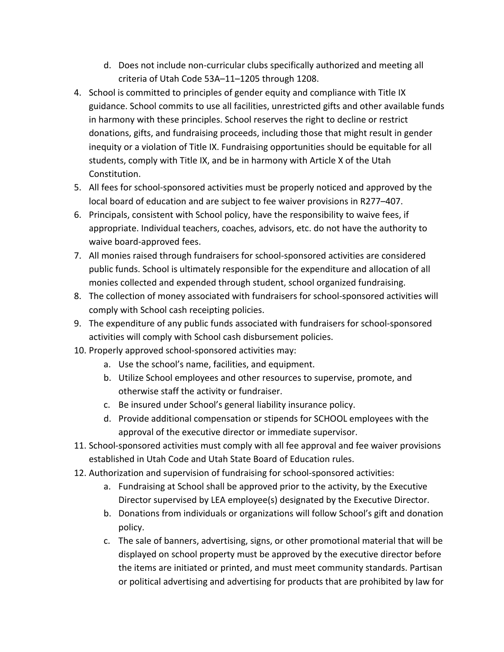- d. Does not include non-curricular clubs specifically authorized and meeting all criteria of Utah Code 53A–11–1205 through 1208.
- 4. School is committed to principles of gender equity and compliance with Title IX guidance. School commits to use all facilities, unrestricted gifts and other available funds in harmony with these principles. School reserves the right to decline or restrict donations, gifts, and fundraising proceeds, including those that might result in gender inequity or a violation of Title IX. Fundraising opportunities should be equitable for all students, comply with Title IX, and be in harmony with Article X of the Utah Constitution.
- 5. All fees for school-sponsored activities must be properly noticed and approved by the local board of education and are subject to fee waiver provisions in R277–407.
- 6. Principals, consistent with School policy, have the responsibility to waive fees, if appropriate. Individual teachers, coaches, advisors, etc. do not have the authority to waive board-approved fees.
- 7. All monies raised through fundraisers for school-sponsored activities are considered public funds. School is ultimately responsible for the expenditure and allocation of all monies collected and expended through student, school organized fundraising.
- 8. The collection of money associated with fundraisers for school-sponsored activities will comply with School cash receipting policies.
- 9. The expenditure of any public funds associated with fundraisers for school-sponsored activities will comply with School cash disbursement policies.
- 10. Properly approved school-sponsored activities may:
	- a. Use the school's name, facilities, and equipment.
	- b. Utilize School employees and other resources to supervise, promote, and otherwise staff the activity or fundraiser.
	- c. Be insured under School's general liability insurance policy.
	- d. Provide additional compensation or stipends for SCHOOL employees with the approval of the executive director or immediate supervisor.
- 11. School-sponsored activities must comply with all fee approval and fee waiver provisions established in Utah Code and Utah State Board of Education rules.
- 12. Authorization and supervision of fundraising for school-sponsored activities:
	- a. Fundraising at School shall be approved prior to the activity, by the Executive Director supervised by LEA employee(s) designated by the Executive Director.
	- b. Donations from individuals or organizations will follow School's gift and donation policy.
	- c. The sale of banners, advertising, signs, or other promotional material that will be displayed on school property must be approved by the executive director before the items are initiated or printed, and must meet community standards. Partisan or political advertising and advertising for products that are prohibited by law for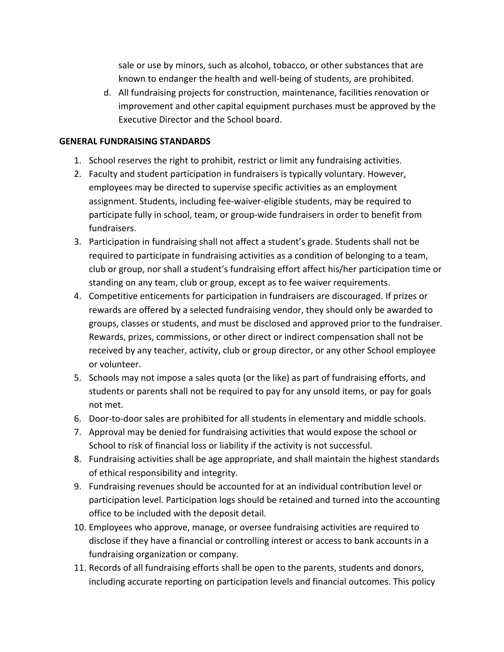sale or use by minors, such as alcohol, tobacco, or other substances that are known to endanger the health and well-being of students, are prohibited.

d. All fundraising projects for construction, maintenance, facilities renovation or improvement and other capital equipment purchases must be approved by the Executive Director and the School board.

#### **GENERAL FUNDRAISING STANDARDS**

- 1. School reserves the right to prohibit, restrict or limit any fundraising activities.
- 2. Faculty and student participation in fundraisers is typically voluntary. However, employees may be directed to supervise specific activities as an employment assignment. Students, including fee-waiver-eligible students, may be required to participate fully in school, team, or group-wide fundraisers in order to benefit from fundraisers.
- 3. Participation in fundraising shall not affect a student's grade. Students shall not be required to participate in fundraising activities as a condition of belonging to a team, club or group, nor shall a student's fundraising effort affect his/her participation time or standing on any team, club or group, except as to fee waiver requirements.
- 4. Competitive enticements for participation in fundraisers are discouraged. If prizes or rewards are offered by a selected fundraising vendor, they should only be awarded to groups, classes or students, and must be disclosed and approved prior to the fundraiser. Rewards, prizes, commissions, or other direct or indirect compensation shall not be received by any teacher, activity, club or group director, or any other School employee or volunteer.
- 5. Schools may not impose a sales quota (or the like) as part of fundraising efforts, and students or parents shall not be required to pay for any unsold items, or pay for goals not met.
- 6. Door-to-door sales are prohibited for all students in elementary and middle schools.
- 7. Approval may be denied for fundraising activities that would expose the school or School to risk of financial loss or liability if the activity is not successful.
- 8. Fundraising activities shall be age appropriate, and shall maintain the highest standards of ethical responsibility and integrity.
- 9. Fundraising revenues should be accounted for at an individual contribution level or participation level. Participation logs should be retained and turned into the accounting office to be included with the deposit detail.
- 10. Employees who approve, manage, or oversee fundraising activities are required to disclose if they have a financial or controlling interest or access to bank accounts in a fundraising organization or company.
- 11. Records of all fundraising efforts shall be open to the parents, students and donors, including accurate reporting on participation levels and financial outcomes. This policy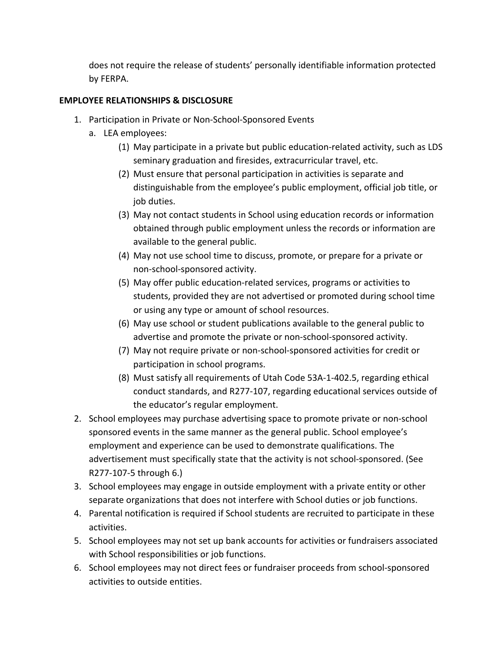does not require the release of students' personally identifiable information protected by FERPA.

### **EMPLOYEE RELATIONSHIPS & DISCLOSURE**

- 1. Participation in Private or Non-School-Sponsored Events
	- a. LEA employees:
		- (1) May participate in a private but public education-related activity, such as LDS seminary graduation and firesides, extracurricular travel, etc.
		- (2) Must ensure that personal participation in activities is separate and distinguishable from the employee's public employment, official job title, or job duties.
		- (3) May not contact students in School using education records or information obtained through public employment unless the records or information are available to the general public.
		- (4) May not use school time to discuss, promote, or prepare for a private or non-school-sponsored activity.
		- (5) May offer public education-related services, programs or activities to students, provided they are not advertised or promoted during school time or using any type or amount of school resources.
		- (6) May use school or student publications available to the general public to advertise and promote the private or non-school-sponsored activity.
		- (7) May not require private or non-school-sponsored activities for credit or participation in school programs.
		- (8) Must satisfy all requirements of Utah Code 53A-1-402.5, regarding ethical conduct standards, and R277-107, regarding educational services outside of the educator's regular employment.
- 2. School employees may purchase advertising space to promote private or non-school sponsored events in the same manner as the general public. School employee's employment and experience can be used to demonstrate qualifications. The advertisement must specifically state that the activity is not school-sponsored. (See R277-107-5 through 6.)
- 3. School employees may engage in outside employment with a private entity or other separate organizations that does not interfere with School duties or job functions.
- 4. Parental notification is required if School students are recruited to participate in these activities.
- 5. School employees may not set up bank accounts for activities or fundraisers associated with School responsibilities or job functions.
- 6. School employees may not direct fees or fundraiser proceeds from school-sponsored activities to outside entities.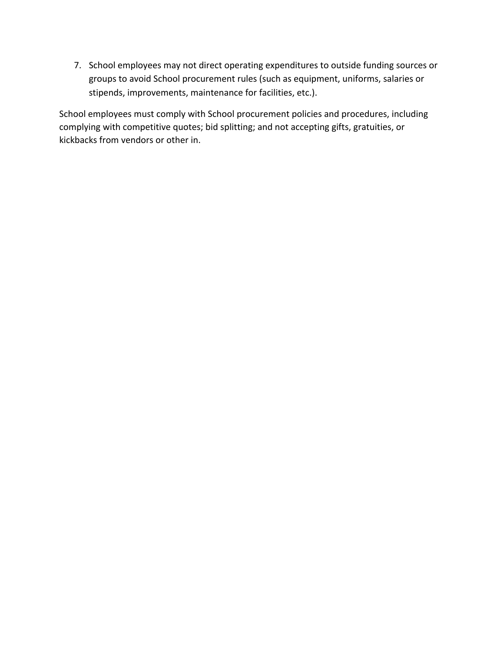7. School employees may not direct operating expenditures to outside funding sources or groups to avoid School procurement rules (such as equipment, uniforms, salaries or stipends, improvements, maintenance for facilities, etc.).

School employees must comply with School procurement policies and procedures, including complying with competitive quotes; bid splitting; and not accepting gifts, gratuities, or kickbacks from vendors or other in.